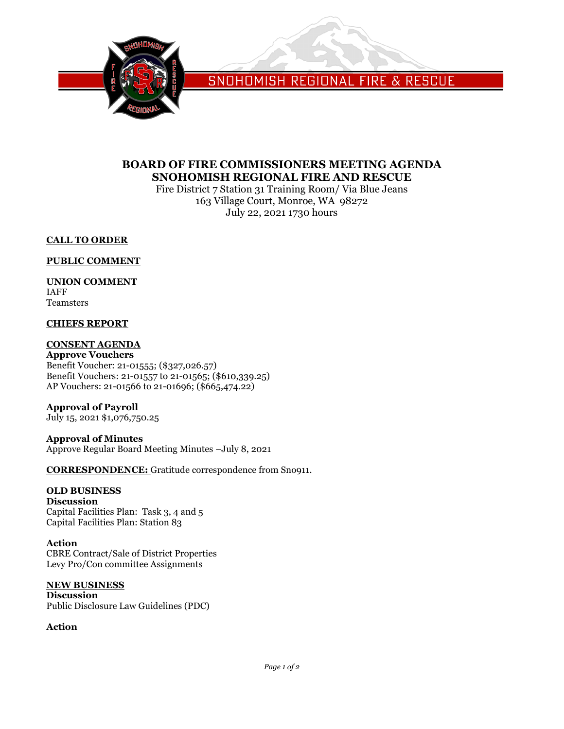

SNOHOMISH REGIONAL FIRE & RESCUE

# **BOARD OF FIRE COMMISSIONERS MEETING AGENDA SNOHOMISH REGIONAL FIRE AND RESCUE**

Fire District 7 Station 31 Training Room/ Via Blue Jeans 163 Village Court, Monroe, WA 98272 July 22, 2021 1730 hours

## **CALL TO ORDER**

## **PUBLIC COMMENT**

## **UNION COMMENT**

IAFF Teamsters

## **CHIEFS REPORT**

## **CONSENT AGENDA**

**Approve Vouchers** Benefit Voucher: 21-01555; (\$327,026.57) Benefit Vouchers: 21-01557 to 21-01565; (\$610,339.25) AP Vouchers: 21-01566 to 21-01696; (\$665,474.22)

# **Approval of Payroll**

July 15, 2021 \$1,076,750.25

# **Approval of Minutes**

Approve Regular Board Meeting Minutes –July 8, 2021

**CORRESPONDENCE:** Gratitude correspondence from Sno911.

## **OLD BUSINESS**

**Discussion** Capital Facilities Plan: Task 3, 4 and 5 Capital Facilities Plan: Station 83

## **Action**

CBRE Contract/Sale of District Properties Levy Pro/Con committee Assignments

## **NEW BUSINESS**

**Discussion** Public Disclosure Law Guidelines (PDC)

## **Action**